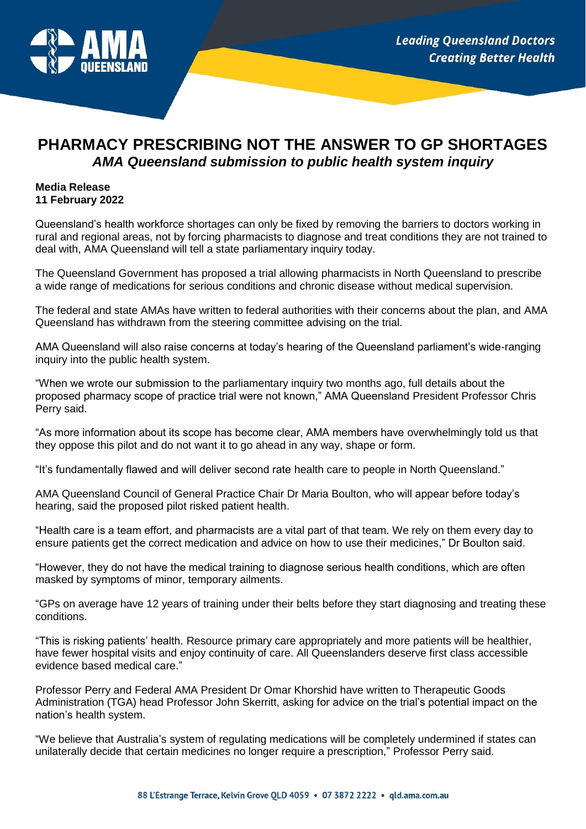

## **PHARMACY PRESCRIBING NOT THE ANSWER TO GP SHORTAGES** *AMA Queensland submission to public health system inquiry*

## **Media Release 11 February 2022**

Queensland's health workforce shortages can only be fixed by removing the barriers to doctors working in rural and regional areas, not by forcing pharmacists to diagnose and treat conditions they are not trained to deal with, AMA Queensland will tell a state parliamentary inquiry today.

The Queensland Government has proposed a trial allowing pharmacists in North Queensland to prescribe a wide range of medications for serious conditions and chronic disease without medical supervision.

The federal and state AMAs have written to federal authorities with their concerns about the plan, and AMA Queensland has withdrawn from the steering committee advising on the trial.

AMA Queensland will also raise concerns at today's hearing of the Queensland parliament's wide-ranging inquiry into the public health system.

"When we wrote our submission to the parliamentary inquiry two months ago, full details about the proposed pharmacy scope of practice trial were not known," AMA Queensland President Professor Chris Perry said.

"As more information about its scope has become clear, AMA members have overwhelmingly told us that they oppose this pilot and do not want it to go ahead in any way, shape or form.

"It's fundamentally flawed and will deliver second rate health care to people in North Queensland."

AMA Queensland Council of General Practice Chair Dr Maria Boulton, who will appear before today's hearing, said the proposed pilot risked patient health.

"Health care is a team effort, and pharmacists are a vital part of that team. We rely on them every day to ensure patients get the correct medication and advice on how to use their medicines," Dr Boulton said.

"However, they do not have the medical training to diagnose serious health conditions, which are often masked by symptoms of minor, temporary ailments.

"GPs on average have 12 years of training under their belts before they start diagnosing and treating these conditions.

"This is risking patients' health. Resource primary care appropriately and more patients will be healthier, have fewer hospital visits and enjoy continuity of care. All Queenslanders deserve first class accessible evidence based medical care."

Professor Perry and Federal AMA President Dr Omar Khorshid have written to Therapeutic Goods Administration (TGA) head Professor John Skerritt, asking for advice on the trial's potential impact on the nation's health system.

"We believe that Australia's system of regulating medications will be completely undermined if states can unilaterally decide that certain medicines no longer require a prescription," Professor Perry said.